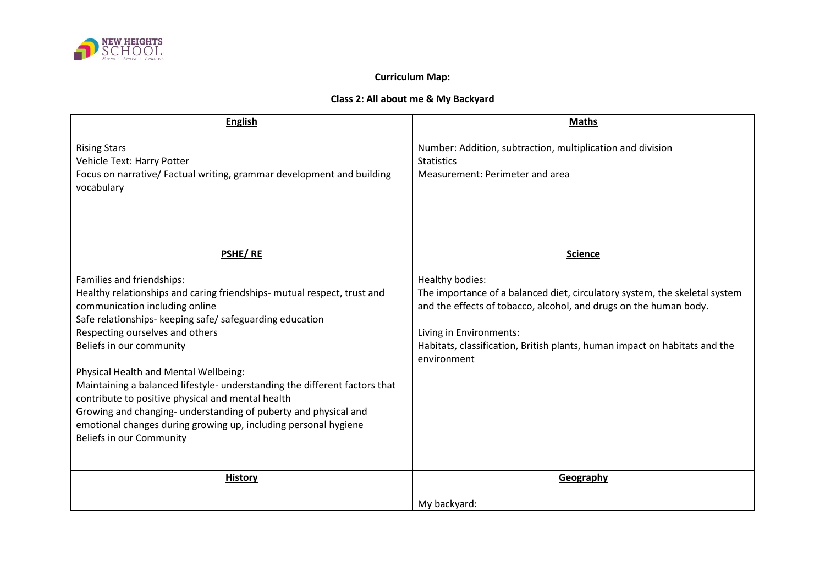

## **Curriculum Map:**

## **Class 2: All about me & My Backyard**

| <b>English</b>                                                                                                                                                                                                                                                                                                                                                                                                                                                                                                                                                                                                  | <b>Maths</b>                                                                                                                                                                                                                                                                               |
|-----------------------------------------------------------------------------------------------------------------------------------------------------------------------------------------------------------------------------------------------------------------------------------------------------------------------------------------------------------------------------------------------------------------------------------------------------------------------------------------------------------------------------------------------------------------------------------------------------------------|--------------------------------------------------------------------------------------------------------------------------------------------------------------------------------------------------------------------------------------------------------------------------------------------|
| <b>Rising Stars</b><br>Vehicle Text: Harry Potter<br>Focus on narrative/ Factual writing, grammar development and building<br>vocabulary                                                                                                                                                                                                                                                                                                                                                                                                                                                                        | Number: Addition, subtraction, multiplication and division<br><b>Statistics</b><br>Measurement: Perimeter and area                                                                                                                                                                         |
| PSHE/RE                                                                                                                                                                                                                                                                                                                                                                                                                                                                                                                                                                                                         | <b>Science</b>                                                                                                                                                                                                                                                                             |
| Families and friendships:<br>Healthy relationships and caring friendships- mutual respect, trust and<br>communication including online<br>Safe relationships- keeping safe/ safeguarding education<br>Respecting ourselves and others<br>Beliefs in our community<br>Physical Health and Mental Wellbeing:<br>Maintaining a balanced lifestyle- understanding the different factors that<br>contribute to positive physical and mental health<br>Growing and changing- understanding of puberty and physical and<br>emotional changes during growing up, including personal hygiene<br>Beliefs in our Community | Healthy bodies:<br>The importance of a balanced diet, circulatory system, the skeletal system<br>and the effects of tobacco, alcohol, and drugs on the human body.<br>Living in Environments:<br>Habitats, classification, British plants, human impact on habitats and the<br>environment |
| <b>History</b>                                                                                                                                                                                                                                                                                                                                                                                                                                                                                                                                                                                                  | Geography                                                                                                                                                                                                                                                                                  |
|                                                                                                                                                                                                                                                                                                                                                                                                                                                                                                                                                                                                                 | My backyard:                                                                                                                                                                                                                                                                               |